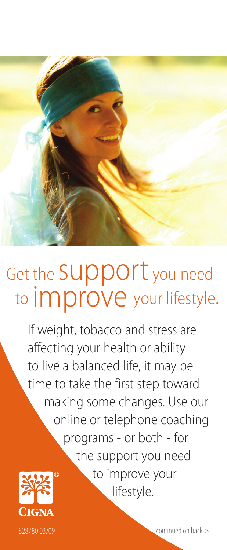

## Get the **SUDDOIT** you need to *improve* your lifestyle.

If weight, tobacco and stress are affecting your health or ability to live a balanced life, it may be time to take the first step toward making some changes. Use our online or telephone coaching programs - or both - for the support you need to improve your lifestyle.

828780 03/09

**CIGNA** 

continued on back >